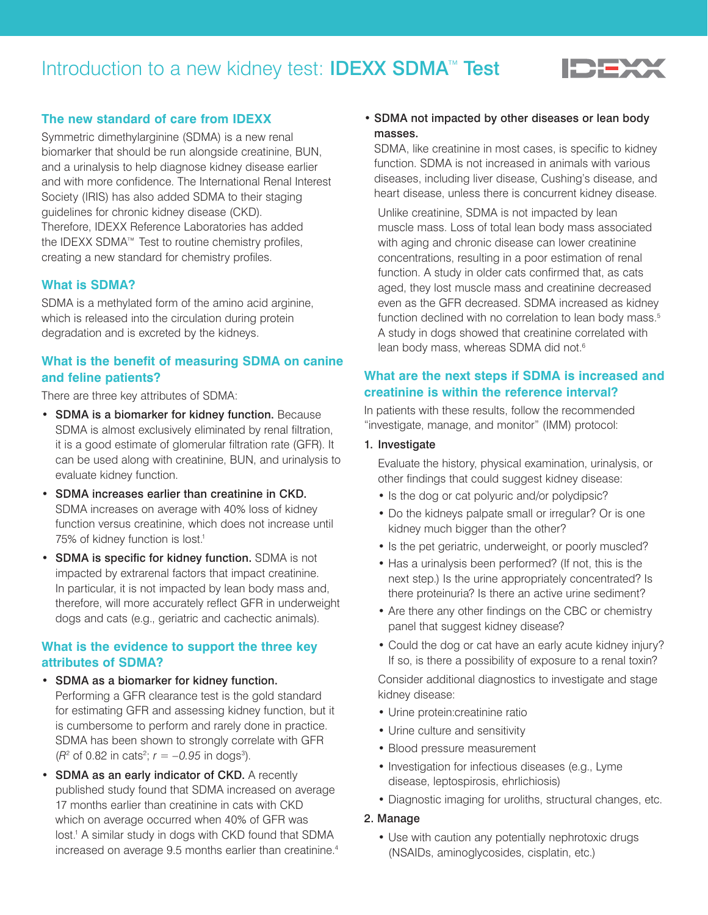# Introduction to a new kidney test: IDEXX SDMA<sup>™</sup> Test



### **The new standard of care from IDEXX**

Symmetric dimethylarginine (SDMA) is a new renal biomarker that should be run alongside creatinine, BUN, and a urinalysis to help diagnose kidney disease earlier and with more confidence. The International Renal Interest Society (IRIS) has also added SDMA to their staging guidelines for chronic kidney disease (CKD). Therefore, IDEXX Reference Laboratories has added the IDEXX SDMA™ Test to routine chemistry profiles, creating a new standard for chemistry profiles.

#### **What is SDMA?**

SDMA is a methylated form of the amino acid arginine, which is released into the circulation during protein degradation and is excreted by the kidneys.

## **What is the benefit of measuring SDMA on canine and feline patients?**

There are three key attributes of SDMA:

- SDMA is a biomarker for kidney function. Because SDMA is almost exclusively eliminated by renal filtration, it is a good estimate of glomerular filtration rate (GFR). It can be used along with creatinine, BUN, and urinalysis to evaluate kidney function.
- SDMA increases earlier than creatinine in CKD. SDMA increases on average with 40% loss of kidney function versus creatinine, which does not increase until 75% of kidney function is lost.<sup>1</sup>
- SDMA is specific for kidney function. SDMA is not impacted by extrarenal factors that impact creatinine. In particular, it is not impacted by lean body mass and, therefore, will more accurately reflect GFR in underweight dogs and cats (e.g., geriatric and cachectic animals).

### **What is the evidence to support the three key attributes of SDMA?**

- SDMA as a biomarker for kidney function. Performing a GFR clearance test is the gold standard for estimating GFR and assessing kidney function, but it is cumbersome to perform and rarely done in practice. SDMA has been shown to strongly correlate with GFR  $(R^2 \text{ of } 0.82 \text{ in } \text{cats}^2; r = -0.95 \text{ in } \text{dogs}^3).$
- SDMA as an early indicator of CKD. A recently published study found that SDMA increased on average 17 months earlier than creatinine in cats with CKD which on average occurred when 40% of GFR was lost.<sup>1</sup> A similar study in dogs with CKD found that SDMA increased on average 9.5 months earlier than creatinine.<sup>4</sup>

## • SDMA not impacted by other diseases or lean body masses.

SDMA, like creatinine in most cases, is specific to kidney function. SDMA is not increased in animals with various diseases, including liver disease, Cushing's disease, and heart disease, unless there is concurrent kidney disease.

 Unlike creatinine, SDMA is not impacted by lean muscle mass. Loss of total lean body mass associated with aging and chronic disease can lower creatinine concentrations, resulting in a poor estimation of renal function. A study in older cats confirmed that, as cats aged, they lost muscle mass and creatinine decreased even as the GFR decreased. SDMA increased as kidney function declined with no correlation to lean body mass.<sup>5</sup> A study in dogs showed that creatinine correlated with lean body mass, whereas SDMA did not.<sup>6</sup>

## **What are the next steps if SDMA is increased and creatinine is within the reference interval?**

In patients with these results, follow the recommended "investigate, manage, and monitor" (IMM) protocol:

#### 1. Investigate

 Evaluate the history, physical examination, urinalysis, or other findings that could suggest kidney disease:

- Is the dog or cat polyuric and/or polydipsic?
- Do the kidneys palpate small or irregular? Or is one kidney much bigger than the other?
- Is the pet geriatric, underweight, or poorly muscled?
- Has a urinalysis been performed? (If not, this is the next step.) Is the urine appropriately concentrated? Is there proteinuria? Is there an active urine sediment?
- Are there any other findings on the CBC or chemistry panel that suggest kidney disease?
- Could the dog or cat have an early acute kidney injury? If so, is there a possibility of exposure to a renal toxin?

 Consider additional diagnostics to investigate and stage kidney disease:

- Urine protein:creatinine ratio
- Urine culture and sensitivity
- Blood pressure measurement
- Investigation for infectious diseases (e.g., Lyme disease, leptospirosis, ehrlichiosis)
- Diagnostic imaging for uroliths, structural changes, etc.

#### 2. Manage

• Use with caution any potentially nephrotoxic drugs (NSAIDs, aminoglycosides, cisplatin, etc.)